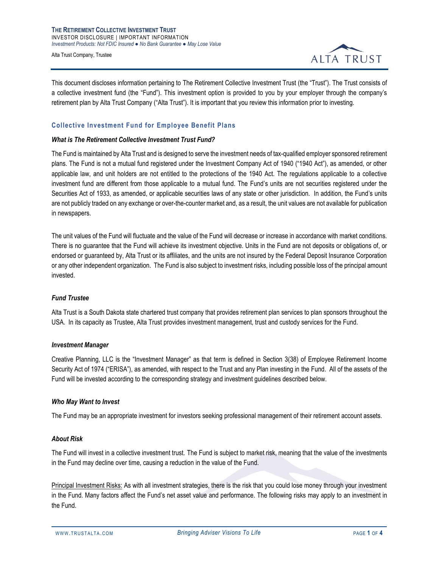**THE RETIREMENT COLLECTIVE INVESTMENT TRUST** INVESTOR DISCLOSURE | IMPORTANT INFORMATION *Investment Products: Not FDIC Insured ● No Bank Guarantee ● May Lose Value*

Alta Trust Company, Trustee



This document discloses information pertaining to The Retirement Collective Investment Trust (the "Trust"). The Trust consists of a collective investment fund (the "Fund"). This investment option is provided to you by your employer through the company's retirement plan by Alta Trust Company ("Alta Trust"). It is important that you review this information prior to investing.

# **Collective Investment Fund for Employee Benefit Plans**

#### *What is The Retirement Collective Investment Trust Fund?*

The Fund is maintained by Alta Trust and is designed to serve the investment needs of tax-qualified employer sponsored retirement plans. The Fund is not a mutual fund registered under the Investment Company Act of 1940 ("1940 Act"), as amended, or other applicable law, and unit holders are not entitled to the protections of the 1940 Act. The regulations applicable to a collective investment fund are different from those applicable to a mutual fund. The Fund's units are not securities registered under the Securities Act of 1933, as amended, or applicable securities laws of any state or other jurisdiction. In addition, the Fund's units are not publicly traded on any exchange or over-the-counter market and, as a result, the unit values are not available for publication in newspapers.

The unit values of the Fund will fluctuate and the value of the Fund will decrease or increase in accordance with market conditions. There is no guarantee that the Fund will achieve its investment objective. Units in the Fund are not deposits or obligations of, or endorsed or guaranteed by, Alta Trust or its affiliates, and the units are not insured by the Federal Deposit Insurance Corporation or any other independent organization. The Fund is also subject to investment risks, including possible loss of the principal amount invested.

## *Fund Trustee*

Alta Trust is a South Dakota state chartered trust company that provides retirement plan services to plan sponsors throughout the USA. In its capacity as Trustee, Alta Trust provides investment management, trust and custody services for the Fund.

## *Investment Manager*

Creative Planning, LLC is the "Investment Manager" as that term is defined in Section 3(38) of Employee Retirement Income Security Act of 1974 ("ERISA"), as amended, with respect to the Trust and any Plan investing in the Fund. All of the assets of the Fund will be invested according to the corresponding strategy and investment guidelines described below.

## *Who May Want to Invest*

The Fund may be an appropriate investment for investors seeking professional management of their retirement account assets.

#### *About Risk*

The Fund will invest in a collective investment trust. The Fund is subject to market risk, meaning that the value of the investments in the Fund may decline over time, causing a reduction in the value of the Fund.

Principal Investment Risks: As with all investment strategies, there is the risk that you could lose money through your investment in the Fund. Many factors affect the Fund's net asset value and performance. The following risks may apply to an investment in the Fund.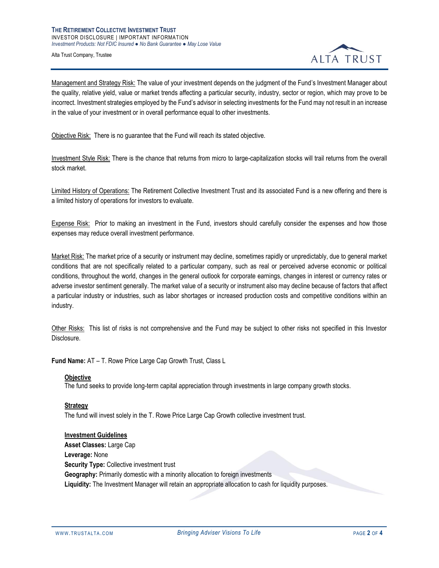Alta Trust Company, Trustee



Management and Strategy Risk: The value of your investment depends on the judgment of the Fund's Investment Manager about the quality, relative yield, value or market trends affecting a particular security, industry, sector or region, which may prove to be incorrect. Investment strategies employed by the Fund's advisor in selecting investments for the Fund may not result in an increase in the value of your investment or in overall performance equal to other investments.

Objective Risk: There is no guarantee that the Fund will reach its stated objective.

Investment Style Risk: There is the chance that returns from micro to large-capitalization stocks will trail returns from the overall stock market.

Limited History of Operations: The Retirement Collective Investment Trust and its associated Fund is a new offering and there is a limited history of operations for investors to evaluate.

Expense Risk: Prior to making an investment in the Fund, investors should carefully consider the expenses and how those expenses may reduce overall investment performance.

Market Risk: The market price of a security or instrument may decline, sometimes rapidly or unpredictably, due to general market conditions that are not specifically related to a particular company, such as real or perceived adverse economic or political conditions, throughout the world, changes in the general outlook for corporate earnings, changes in interest or currency rates or adverse investor sentiment generally. The market value of a security or instrument also may decline because of factors that affect a particular industry or industries, such as labor shortages or increased production costs and competitive conditions within an industry.

Other Risks: This list of risks is not comprehensive and the Fund may be subject to other risks not specified in this Investor Disclosure.

**Fund Name:** AT – T. Rowe Price Large Cap Growth Trust, Class L

#### **Objective**

The fund seeks to provide long-term capital appreciation through investments in large company growth stocks.

## **Strategy**

The fund will invest solely in the T. Rowe Price Large Cap Growth collective investment trust.

**Investment Guidelines Asset Classes:** Large Cap **Leverage:** None **Security Type: Collective investment trust Geography:** Primarily domestic with a minority allocation to foreign investments **Liquidity:** The Investment Manager will retain an appropriate allocation to cash for liquidity purposes.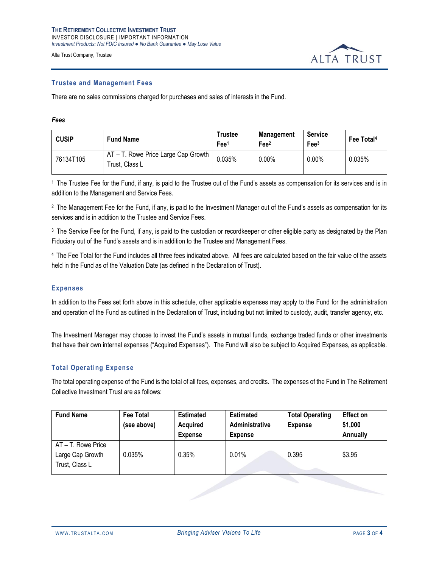Alta Trust Company, Trustee



#### **Trustee and Management Fees**

There are no sales commissions charged for purchases and sales of interests in the Fund.

#### *Fees*

| <b>CUSIP</b> | <b>Fund Name</b>                                      | <b>Trustee</b><br>Fee <sup>1</sup> | Management<br>Fee <sup>2</sup> | <b>Service</b><br>Fee <sup>3</sup> | Fee Total <sup>4</sup> |
|--------------|-------------------------------------------------------|------------------------------------|--------------------------------|------------------------------------|------------------------|
| 76134T105    | AT - T. Rowe Price Large Cap Growth<br>Trust, Class L | 0.035%                             | $0.00\%$                       | $0.00\%$                           | 0.035%                 |

<sup>1</sup> The Trustee Fee for the Fund, if any, is paid to the Trustee out of the Fund's assets as compensation for its services and is in addition to the Management and Service Fees.

<sup>2</sup> The Management Fee for the Fund, if any, is paid to the Investment Manager out of the Fund's assets as compensation for its services and is in addition to the Trustee and Service Fees.

<sup>3</sup> The Service Fee for the Fund, if any, is paid to the custodian or recordkeeper or other eligible party as designated by the Plan Fiduciary out of the Fund's assets and is in addition to the Trustee and Management Fees.

<sup>4</sup>The Fee Total for the Fund includes all three fees indicated above. All fees are calculated based on the fair value of the assets held in the Fund as of the Valuation Date (as defined in the Declaration of Trust).

## **Expenses**

In addition to the Fees set forth above in this schedule, other applicable expenses may apply to the Fund for the administration and operation of the Fund as outlined in the Declaration of Trust, including but not limited to custody, audit, transfer agency, etc.

The Investment Manager may choose to invest the Fund's assets in mutual funds, exchange traded funds or other investments that have their own internal expenses ("Acquired Expenses"). The Fund will also be subject to Acquired Expenses, as applicable.

## **Total Operating Expense**

The total operating expense of the Fund is the total of all fees, expenses, and credits. The expenses of the Fund in The Retirement Collective Investment Trust are as follows:

| <b>Fund Name</b>   | <b>Fee Total</b><br>(see above) | <b>Estimated</b><br><b>Acquired</b> | <b>Estimated</b><br>Administrative | <b>Total Operating</b><br><b>Expense</b> | <b>Effect on</b><br>\$1,000 |  |
|--------------------|---------------------------------|-------------------------------------|------------------------------------|------------------------------------------|-----------------------------|--|
|                    |                                 | <b>Expense</b>                      | <b>Expense</b>                     |                                          | Annually                    |  |
| AT - T. Rowe Price |                                 |                                     |                                    |                                          |                             |  |
| Large Cap Growth   | 0.035%                          | 0.35%                               | 0.01%                              | 0.395                                    | \$3.95                      |  |
| Trust, Class L     |                                 |                                     |                                    |                                          |                             |  |
|                    |                                 |                                     |                                    |                                          |                             |  |
|                    |                                 |                                     |                                    |                                          |                             |  |
|                    |                                 |                                     |                                    |                                          |                             |  |